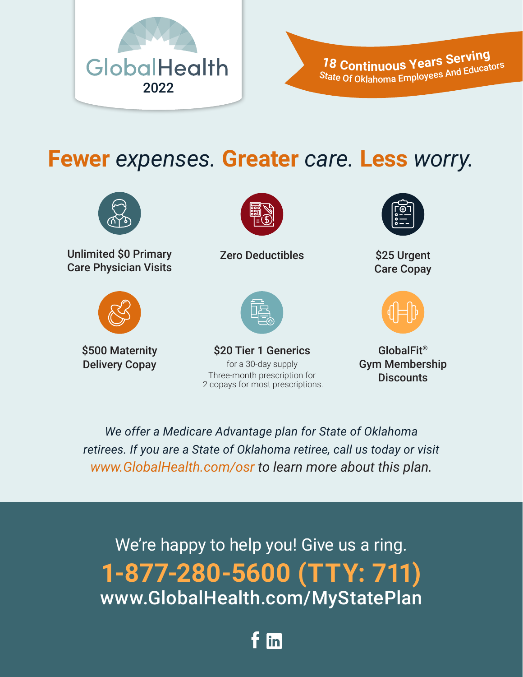



**Fewer** *expenses.* **Greater** *care.* **Less** *worry.*



Unlimited \$0 Primary Care Physician Visits



\$500 Maternity Delivery Copay



Zero Deductibles \$25 Urgent



for a 30-day supply Three-month prescription for 2 copays for most prescriptions. \$20 Tier 1 Generics GlobalFit<sup>®</sup>



Care Copay



Gym Membership **Discounts** 

*We offer a Medicare Advantage plan for State of Oklahoma retirees. If you are a State of Oklahoma retiree, call us today or visit www.GlobalHealth.com/osr to learn more about this plan.*

We're happy to help you! Give us a ring. **1-877-280-5600 (TTY: 711)** www.GlobalHealth.com/MyStatePlan

lin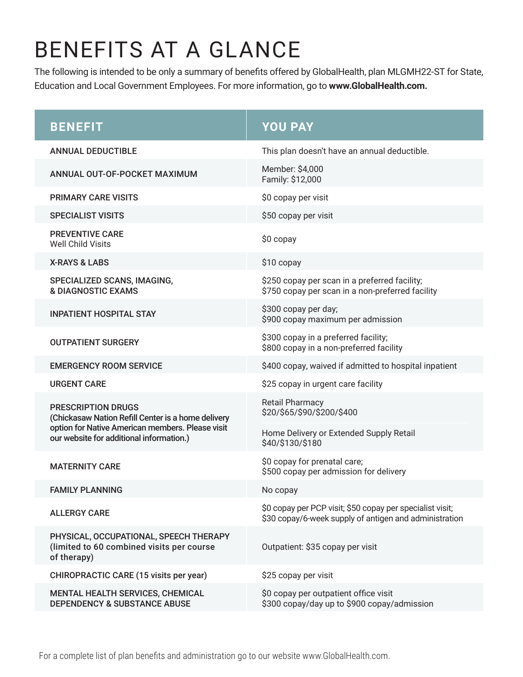# BENEFITS AT A GLANCE

The following is intended to be only a summary of benefits offered by GlobalHealth, plan MLGMH22-ST for State, Education and Local Government Employees. For more information, go to **www.GlobalHealth.com.**

| <b>BENEFIT</b>                                                                                                                                                                  | <b>YOU PAY</b>                                                                                                      |
|---------------------------------------------------------------------------------------------------------------------------------------------------------------------------------|---------------------------------------------------------------------------------------------------------------------|
| <b>ANNUAL DEDUCTIBLE</b>                                                                                                                                                        | This plan doesn't have an annual deductible.                                                                        |
| ANNUAL OUT-OF-POCKET MAXIMUM                                                                                                                                                    | Member: \$4,000<br>Family: \$12,000                                                                                 |
| <b>PRIMARY CARE VISITS</b>                                                                                                                                                      | \$0 copay per visit                                                                                                 |
| <b>SPECIALIST VISITS</b>                                                                                                                                                        | \$50 copay per visit                                                                                                |
| <b>PREVENTIVE CARE</b><br><b>Well Child Visits</b>                                                                                                                              | \$0 copay                                                                                                           |
| <b>X-RAYS &amp; LABS</b>                                                                                                                                                        | \$10 copay                                                                                                          |
| SPECIALIZED SCANS, IMAGING,<br><b>&amp; DIAGNOSTIC EXAMS</b>                                                                                                                    | \$250 copay per scan in a preferred facility;<br>\$750 copay per scan in a non-preferred facility                   |
| <b>INPATIENT HOSPITAL STAY</b>                                                                                                                                                  | \$300 copay per day;<br>\$900 copay maximum per admission                                                           |
| <b>OUTPATIENT SURGERY</b>                                                                                                                                                       | \$300 copay in a preferred facility;<br>\$800 copay in a non-preferred facility                                     |
| <b>EMERGENCY ROOM SERVICE</b>                                                                                                                                                   | \$400 copay, waived if admitted to hospital inpatient                                                               |
| <b>URGENT CARE</b>                                                                                                                                                              | \$25 copay in urgent care facility                                                                                  |
| <b>PRESCRIPTION DRUGS</b><br>(Chickasaw Nation Refill Center is a home delivery<br>option for Native American members. Please visit<br>our website for additional information.) | <b>Retail Pharmacy</b><br>\$20/\$65/\$90/\$200/\$400                                                                |
|                                                                                                                                                                                 | Home Delivery or Extended Supply Retail<br>\$40/\$130/\$180                                                         |
| <b>MATERNITY CARE</b>                                                                                                                                                           | \$0 copay for prenatal care;<br>\$500 copay per admission for delivery                                              |
| <b>FAMILY PLANNING</b>                                                                                                                                                          | No copay                                                                                                            |
| <b>ALLERGY CARE</b>                                                                                                                                                             | \$0 copay per PCP visit; \$50 copay per specialist visit;<br>\$30 copay/6-week supply of antigen and administration |
| PHYSICAL, OCCUPATIONAL, SPEECH THERAPY<br>(limited to 60 combined visits per course<br>of therapy)                                                                              | Outpatient: \$35 copay per visit                                                                                    |
| <b>CHIROPRACTIC CARE (15 visits per year)</b>                                                                                                                                   | \$25 copay per visit                                                                                                |
| <b>MENTAL HEALTH SERVICES, CHEMICAL</b><br><b>DEPENDENCY &amp; SUBSTANCE ABUSE</b>                                                                                              | \$0 copay per outpatient office visit<br>\$300 copay/day up to \$900 copay/admission                                |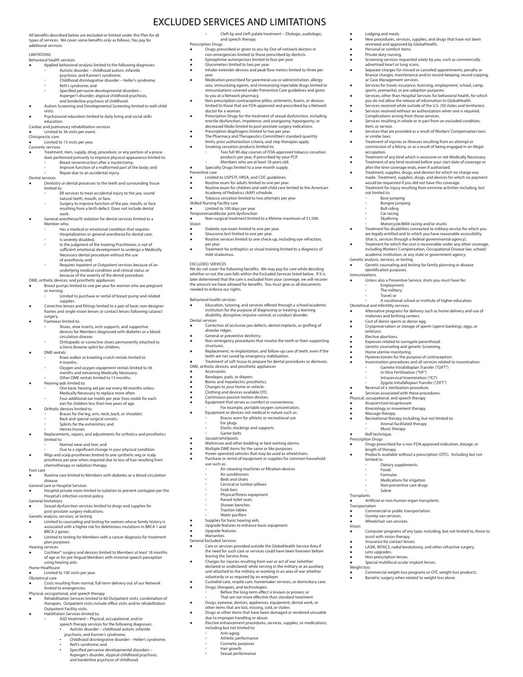### All benefits described below are excluded or limited under this Plan for all types of services. We cover some benefits only as follows. You pay for additional services.

#### **LIMITATIONS**

- Behavioral health services
- Applied behavioral analysis limited to the following diagnoses: **◦** Autistic disorder childhood autism, infantile
	- psychosis, and Kanner's syndrome; **◦** Childhood disintegrative disorder – Heller's syndrome; **◦** Rett's syndrome; and
	- **◦** Specified pervasive developmental disorders –
	-
- Asperger's disorder, atypical childhood psychosis,<br>and borderline psychosis of childhood.<br>♦ Autism Screening and Developmental Screening limited to well-child visits.
- Psychosocial education limited to daily living and social skills
- education. Cardiac and pulmonary rehabilitation services
- **•** Limited to 36 visits per event. ractic care
- **●** Limited to 15 visits per year.
- Cosmetic services
- Treatment, item, supply, drug, procedure, or any portion of a procedure performed primarily to improve physical appearance limited to:<br>• Breast reconstruction after a mastectomy;<br>• Breast reconstruction of a malformed pa
- 
- **◦** Repair due to an accidental injury.

#### Dental services

- **●** Dentistry or dental processes to the teeth and surrounding tissue limited to
	- **◦** ER services to treat accidental injury to the jaw, sound
	- natural teeth, mouth, or face. **◦** Surgery to improve function of the jaw, mouth, or face
	- resulting from a birth defect. Does not include dental work. **Primitival and Separation for dental services limited to a**
- - Member who: **◦** Has a medical or emotional condition that requires
	- Hospitalization or general anesthesia for dental care; **◦** Is severely disabled;
	- **◦** In the judgment of the treating Practitioner, is not of sufficient emotional development to undergo a Medically Necessary dental procedure without the use
	- of anesthesia; and **◦** Requires Inpatient or Outpatient services because of an
	- underlying medical condition and clinical status or because of the severity of the dental procedure.
- DME, orthotic devices, and prosthetic appliances **●** Breast pumps limited to one per year for women who are pregnant or nursing.
- **◦** Limited to purchase or rental of breast pump and related
	- supplies. Corrective lenses and fittings limited to a pair of basic non-designer frames and single vision lenses or contact lenses following cataract
- surgery. **Footwear limited to:**
- - **◦** Shoes, shoe inserts, arch supports, and supportive devices for Members diagnosed with diabetes or a blood
		- circulation disease. **◦** Orthopedic or corrective shoes permanently attached to
		- a Denis Browne splint for children. DME rentals:
	- Knee walker or kneeling crutch rentals limited to 4 months
		- 4 months. **◦** Oxygen and oxygen equipment rentals limited to 36 months and remaining Medically Necessary. **◦** Other DME rentals limited to 13 months.
		-
	-
- **●** Hearing aids limited to:<br>△ One basic hearing aid per ear every 48 months unless Medically Necessary to replace more often.
- ° Four additional ear molds per year (two molds for each ear) for children less than two years of age.<br>● Orthotic devices limited to:
- 
- Braces for the leg, arm, neck, back, or shoulder:
- **◦** Back and special surgical corsets; **◦** Splints for the extremities; and
	- **◦** Hernia trusses.
- Replacements, repairs, and adjustments for orthotics and prosthetics limited to:
- **nal wear and tear**; and **◦** Due to a significant change in your physical condition.
- Wigs and scalp prostheses limited to one synthetic wig or scalp prosthesis per year when required due to loss of hair resulting from chemotherapy or radiation therapy.
- Foot care
- Routine care limited to Members with diabetes or a blood circulation disease. General care or Hospital Services
- Hospital private room limited to isolation to prevent contagion per the
- Hospital's infection control policy. General limitations

**EXECUTE:** Sexual dysfunction services limited to drugs and supplies for

- 
- post-prostate surgery indications. Genetic analysis, services, or testing Limited to counseling and testing for women whose family history is associated with a higher risk for deleterious mutations in BRCA 1 and BRCA 2 genes.
- and the sends.<br>Limited to testing for Members with a cancer diagnosis for treatm plan purposes.
- Hearing services
- Cochlear® surgery and devices limited to Members at least 18 months of age or for pre-lingual Members with minimal speech perception using hearing aids. Home Healthcare
- Limited to 100 visits per year.
- Obstetrical care
- Costs resulting from normal, full-term delivery out of our Network limited to emergencies. Physical, occupational, and speech therapy ● Rehabilitation Services limited to 60 Outpatient visits, combination of
- 
- therapies. Outpatient visits include office visits and/or rehabilitation
- Outpatient Facility visits. Habilitation Services limited to:
	- **◦** ASD treatment Physical, occupational, and/or
		-
	- speech therapy services for the following diagnoses: Autistic disorder childhood autism, infantile psychosis, and Kanner's syndrome;
		- enosis, and namner's syndrome;<br>Childhood disintegrative disorder Heller's syndrome;
		- Rett's syndrome; and Specified pervasive developmental disorders Asperger's disorder, atypical childhood psychosis, and borderline psychosis of childhood.

### EXCLUDED SERVICES AND LIMITATIONS **◦** Cleft lip and cleft palate treatment – Otologic, audiologic,

and speech therapy.

Prescription Drugs ● Drugs prescribed or given to you by Out-of-network doctors in non-emergencies limited to those prescribed by dentists. ● Epinephrine autoinjectors limited to four per year. Lodging and meals

item, or service.

or similar laws.

occupation.

not limited to: **◦** Base jumping **◦** Bungee jumping **◦** Bull riding **◦** Car racing

identification purposes. Immunizations

**◦** Employment; **◦** The military; **◦** Travel; or

Cost of donor sperm or donor egg.

● Reversal of a sterilization procedure. ● Services associated with these procedures. Physical, occupational, and speech therapy ● Acupuncture/acupressure. ● Kinesiology or movement therapy. Massage therapy.

> **◦** Dietary supplements **◦** Foods **◦** Formulas **◦** Medications for irrigation **◦** Non-preventive care drugs

ants<br>Artificial or non-human organ transplants. Transportation ● Commercial or public transportation. ● Gurney van services. Gamey van services.<br>Wheelchair van services.

● Lens upgrades.<br>● Non-prescription lenses.<br>● Special multifocal ocular implant lenses.

**◦** Saline

**Transplants** 

Vision

Weight loss

Obstetrical and Infertility services

reviewed and approved by GlobalHealth. **Personal or comfort items** rersonaror commerci<br>Private duty nursing.

Complications arising from those services.

**◦** Skydiving **◦** Motorcycle/BMX racing and/or stunts

academic institution, or any state or government agency. Genetic analysis, services, or testing **Genetic counseling and testing for family planning or disease** 

enterne<br>Unless also a Preventive Service, shots you must have for:

● Alternative programs for delivery such as home delivery and use of midwives and birthing centers.

● Cryopreservation or storage of sperm (sperm banking), eggs, or embryos. ● Elective abortions. Expenses related to surrogate parenthood. ● Genetic counseling and genetic Screening.<br>● Home uterine monitoring.<br>● Hysterectomies for the purpose of contraception.

> **◦** Gamete Intrafallopian Transfer ("GIFT") **◦** In Vitro Fertilization ("IVF") **◦** Intracervical Insemination ("ICI") **◦** Zygote Intrafallopian Transfer ("ZIFT")

massage marapy.<br>Recreational therapy including, but not limited to: **Animal-facilitated the ◦** Music therapy e made<br>Rolf technique. Prescription Drugs

● Drugs prescribed for a non-FDA approved indication, dosage, or length of therapy. ● Products available without a prescription (OTC). Including but not limited to:

Computer programs of any type, including, but not limited to, those to

assist with vision therapy. ● Insurance for contact lenses. ● LASIK, INTACS, radial keratotomy, and other refractive surgery.

● Commercial weight loss programs or OTC weight loss products.<br>● Bariatric surgery when related to weight loss alone.

Insemination procedures and all services related to insemination.

**◦** A vocational school or institute of higher education.

• Treatment for disabilities connected to military service for which you<br>are legally entitled and to which you have reasonable accessibility<br>(that is, services through a federal governmental agency).<br>• Treatment for which

or Case Management services.

**New procedures, services, supplies, and drugs that have not been** 

- more easy necessary.<br>Screening services requested solely by you, such as commercially advertised heart or lung scans. ● Separate charges for missed or canceled appointments, penalty or finance charges, maintenance and/or record-keeping, record copying,

● Services for travel, insurance, licensing, employment, school, camp,<br>sports, premarital, or pre-adoption purposes.<br>Services, other than Hospital Services for behavioral health, for which you do not allow the release of information to GlobalHealth. ● Services received while outside of the U.S. (50 states and territories). ● Services received without an authorization when one is required.

**Services resulting in whole or in part from an excluded condition,** 

● Treatment of injuries or illnesses resulting from an attempt or commission of a felony, or as a result of being engaged in an illegal

Services that are provided as a result of Workers' Compensation laws

Treatment of any kind which is excessive or not Medically Necessary. ● Treatment of any kind received before your start date of coverage or after the time coverage ends, even if authorized. ● Treatment, supplies, drugs, and devices for which no charge was made. Treatment, supplies, drugs, and devices for which no payment would be requested if you did not have this coverage. ● Treatment for injury resulting from extreme activities including, but

- 
- 
- Glucometers limited to two per year. Inhaler extender devices and peak flow meters limited to three per
- year. Medication prescribed for parenteral use or administration, allergy sera, immunizing agents, and immunizing injectable drugs limited to immunizations covered under Preventive Care guidelines and given to you at a Network pharmacy.
- to you at a network pharmacy.<br>Non-prescription contraceptive jellies, ointments, foams, or devices limited to those that are FDA-approved and prescribed by a Network doctor for a woman
- abetor for a woman:<br>Prescription Drugs for the treatment of sexual dysfunction, including
- erectile dysfunction, impotence, and anorgasmy, hyporgasmy, or<br>decreased libido limited to post-prostate surgery indications.<br>• Prescription diaphragms limited to two per year.<br>• The Pharmacy and Therapeutics Committee's s
- 
- limits, prior authorization criteria, and step therapies apply. Smoking cessation products limited to: **◦** Two full 90-day courses of FDA-approved tobacco cessation **• products per year, if prescribed by your PCP.**<br>• Members who are at least 18 years old.<br>• Specialty Drugs limited to a one-month supply.

### Preventive care

- I imited to USPSTF, HRSA, and CDC quidelines.
- 
- Routine exam for adults limited to one per year.<br>● Routine exam for children and well-child care limited to the American Academy of Pediatrics (AAP) schedule.
- Tobacco cessation limited to two attempts per year. Skilled Nursing Facility care
- 
- Limited to 100 days per year.<br>Temporomandibular joint dysfunction
- Temporomandibular joint dysfunction<br>● Non-surgical treatment limited to a lifetime maximum of \$1,500. Vision
- Diabetic eye exam limited to one per year.
- Glaucoma test limited to one per year. Routine services limited to one check-up, including eye refraction,
- per year. ● Treatment for orthoptics or visual training limited to a diagnosis of
- mild strabismus.

#### excluded services

We do not cover the following benefits. We may pay for care while deciding whether or not the care falls within the Excluded Services listed below. If it is later determined that the care is excluded from your coverage, we will recover<br>the amount we have allowed for benefits. You must give us all documents<br>needed to enforce our rights.

#### Behavioral health services

- Education, tutoring, and services offered through a school/academic institution for the purpose of diagnosing or treating a learning disability, disruptive, impulse-control, or conduct disorder.
- Dental services Correction of occlusive jaw defects, dental implants, or grafting of alveolar ridges.
- 

**Accessories** necessones.<br>Bandages, pads, or diapers ● Bionic and myoelectric prosthetics.<br>● Changes to your home or vehicle.

use such as:

• Warranties.<br>General Excluded Se General Excluded Services

DME, orthotic devices, and prosthetic appliances

**◦** Ear plugs

**◦** Air conditioners **◦** Beds and chairs **◦** Cervical or lumbar pillows **◦** Grab bars **◦** Physical fitness equipment **◦** Raised toilet seats **◦** Shower benches **◦** Traction tables **◦** Water purifiers Supplies for basic hearing aids. ● Upgrade features to enhance basic equipment. ● Upgrade features.

leaving the Service Area.

**◦** Anti-aging **◦** Athletic performance **◦** Cosmetic purposes **◦** Hair growth **◦** Sexual performance

**◦** Garter belts Jacuzzi/whirlpools.

● Clothing and devices available OTC. ● Continuous passive motion devices. ● Equipment that serves as comfort or convenience. **•** For example, portable oxygen concentrators.<br>■ Equipment or devices not medical in nature such as:<br>■ Braces worn for athletic or recreational use

Elastic stockings and supports

Mattresses and other bedding or bed-wetting alarms. ● Multiple DME items for the same or like purposes. ● Power-operated vehicles that may be used as wheelchairs. Purchase or rental of equipment or supplies for common household

**◦** Air-cleaning machines or filtration devices

● Care or services provided outside the GlobalHealth Service Area if the need for such care or services could have been foreseen before

● Charges for injuries resulting from war or act of war (whether declared or undeclared) while serving in the military or an auxiliary unit attached to the military or working in an area of war whether voluntarily or as required by an employer. ● Custodial care, respite care, homemaker services, or domiciliary care. ● Drugs, therapies, and technologies: **Before the long-term effect is known or proven; or •** That are not more effective than standard treatment.<br>● Drugs, eyewear, devices, appliances, equipment, dental work, or<br>other items that are lost, missing, sold, or stolen. Drugs or other items that have been damaged or rendered unusable due to improper handling or abuse. ● Elective enhancement procedures, services, supplies, or medications, including but not limited to:

● General or preventive dentistry.<br>● Non-emergency procedures that involve the teeth or their supporting structures. **Replacement, re-implantation, and follow-up care of teeth, even if the** teeth are not saved by emergency stabilization. ● Treatment of soft tissue to prepare for dental procedures or dentures.